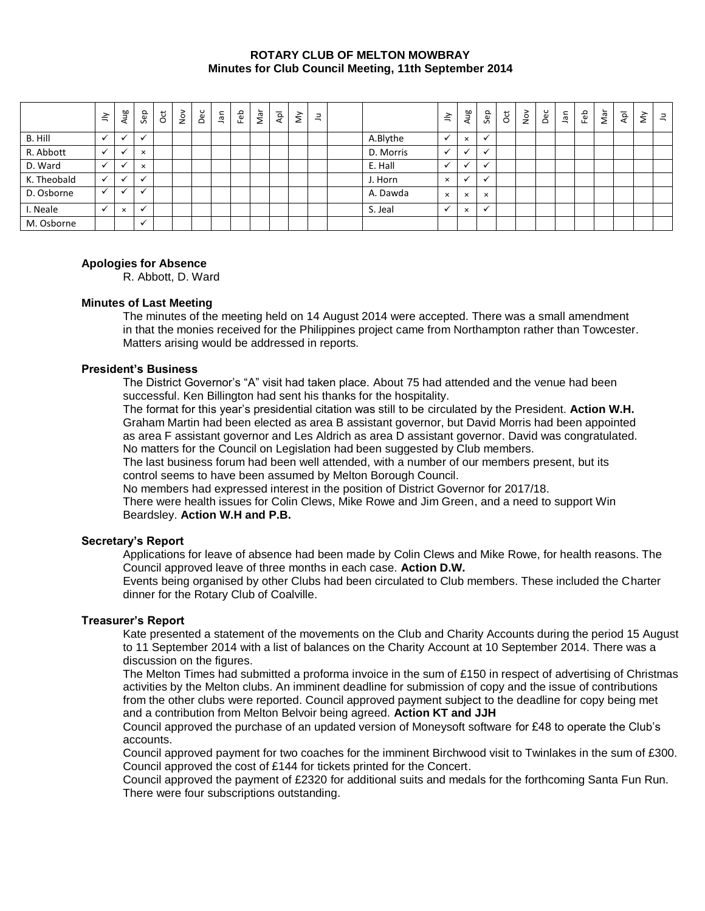#### **ROTARY CLUB OF MELTON MOWBRAY Minutes for Club Council Meeting, 11th September 2014**

|             | $\tilde{=}$ | Aug                      | Sep                      | <b>b</b> | Nov | Dec | lan | Feb | Nar | Αpl | $\check{\varepsilon}$ | Ξ |           | $\preceq$            | Aug         | Sep          | ğ | $\frac{5}{2}$ | Dec | lan | Feb | Nar | $\bar{A}$ | $\grave{\Sigma}$ | $\exists$ |
|-------------|-------------|--------------------------|--------------------------|----------|-----|-----|-----|-----|-----|-----|-----------------------|---|-----------|----------------------|-------------|--------------|---|---------------|-----|-----|-----|-----|-----------|------------------|-----------|
| B. Hill     |             | $\ddot{\phantom{0}}$     |                          |          |     |     |     |     |     |     |                       |   | A.Blythe  | v                    | $\times$    | $\cdot$      |   |               |     |     |     |     |           |                  |           |
| R. Abbott   |             |                          | $\times$                 |          |     |     |     |     |     |     |                       |   | D. Morris | $\ddot{\phantom{0}}$ | $\check{ }$ | $\cdot$      |   |               |     |     |     |     |           |                  |           |
| D. Ward     |             | $\ddot{\phantom{0}}$     | $\times$                 |          |     |     |     |     |     |     |                       |   | E. Hall   | $\ddot{\phantom{0}}$ | ✔           | $\mathbf{v}$ |   |               |     |     |     |     |           |                  |           |
| K. Theobald |             | $\overline{\phantom{a}}$ | √                        |          |     |     |     |     |     |     |                       |   | J. Horn   | $\times$             | ✔           | $\mathbf{v}$ |   |               |     |     |     |     |           |                  |           |
| D. Osborne  | ✓           |                          | $\overline{\phantom{a}}$ |          |     |     |     |     |     |     |                       |   | A. Dawda  | $\times$             | $\times$    | $\times$     |   |               |     |     |     |     |           |                  |           |
| I. Neale    |             | $\times$                 | $\checkmark$             |          |     |     |     |     |     |     |                       |   | S. Jeal   |                      | $\times$    | $\checkmark$ |   |               |     |     |     |     |           |                  |           |
| M. Osborne  |             |                          | $\checkmark$             |          |     |     |     |     |     |     |                       |   |           |                      |             |              |   |               |     |     |     |     |           |                  |           |

# **Apologies for Absence**

R. Abbott, D. Ward

## **Minutes of Last Meeting**

The minutes of the meeting held on 14 August 2014 were accepted. There was a small amendment in that the monies received for the Philippines project came from Northampton rather than Towcester. Matters arising would be addressed in reports.

# **President's Business**

The District Governor's "A" visit had taken place. About 75 had attended and the venue had been successful. Ken Billington had sent his thanks for the hospitality.

The format for this year's presidential citation was still to be circulated by the President. **Action W.H.** Graham Martin had been elected as area B assistant governor, but David Morris had been appointed as area F assistant governor and Les Aldrich as area D assistant governor. David was congratulated. No matters for the Council on Legislation had been suggested by Club members.

The last business forum had been well attended, with a number of our members present, but its control seems to have been assumed by Melton Borough Council.

No members had expressed interest in the position of District Governor for 2017/18.

There were health issues for Colin Clews, Mike Rowe and Jim Green, and a need to support Win Beardsley. **Action W.H and P.B.**

## **Secretary's Report**

Applications for leave of absence had been made by Colin Clews and Mike Rowe, for health reasons. The Council approved leave of three months in each case. **Action D.W.**

Events being organised by other Clubs had been circulated to Club members. These included the Charter dinner for the Rotary Club of Coalville.

## **Treasurer's Report**

Kate presented a statement of the movements on the Club and Charity Accounts during the period 15 August to 11 September 2014 with a list of balances on the Charity Account at 10 September 2014. There was a discussion on the figures.

The Melton Times had submitted a proforma invoice in the sum of £150 in respect of advertising of Christmas activities by the Melton clubs. An imminent deadline for submission of copy and the issue of contributions from the other clubs were reported. Council approved payment subject to the deadline for copy being met and a contribution from Melton Belvoir being agreed. **Action KT and JJH**

Council approved the purchase of an updated version of Moneysoft software for £48 to operate the Club's accounts.

Council approved payment for two coaches for the imminent Birchwood visit to Twinlakes in the sum of £300. Council approved the cost of £144 for tickets printed for the Concert.

Council approved the payment of £2320 for additional suits and medals for the forthcoming Santa Fun Run. There were four subscriptions outstanding.